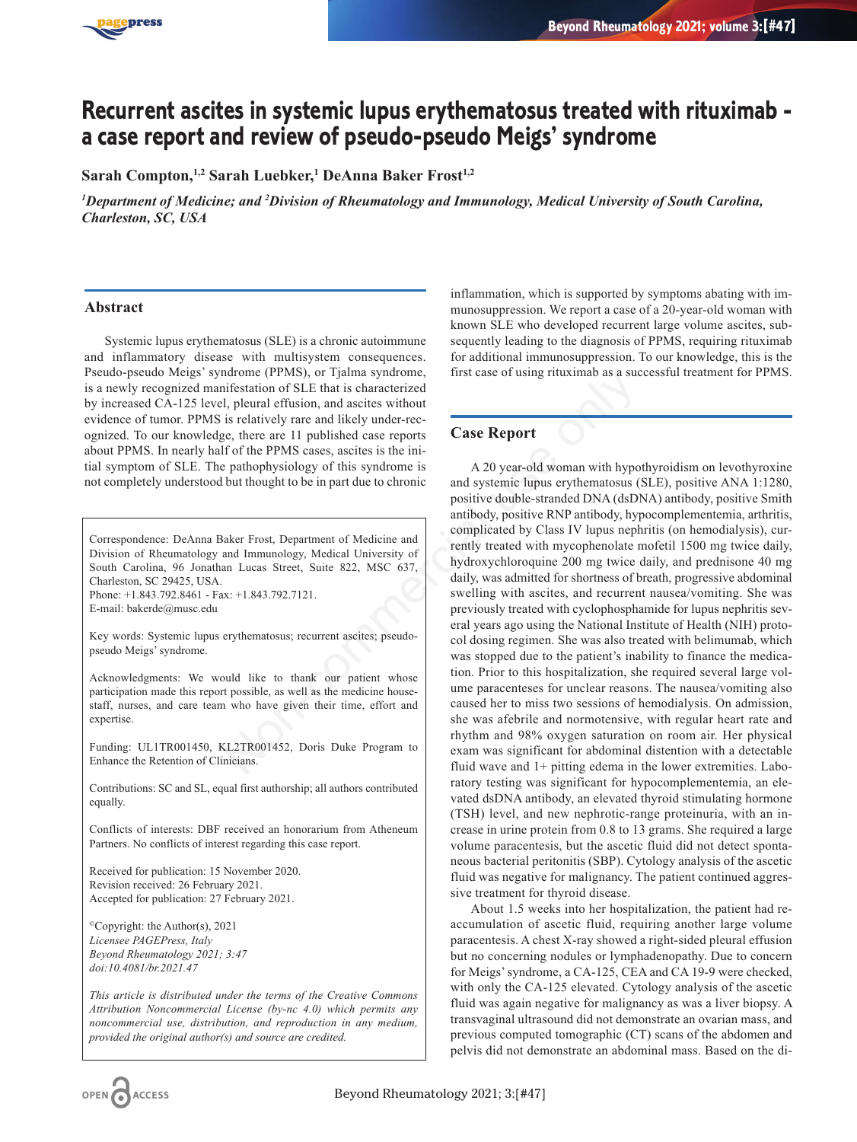

# **Recurrent ascites in systemic lupus erythematosus treated with rituximab a case report and review of pseudo-pseudo Meigs' syndrome**

**Sarah Compton,1,2 Sarah Luebker,1 DeAnna Baker Frost1,2**

*1 Department of Medicine; and 2 Division of Rheumatology and Immunology, Medical University of South Carolina, Charleston, SC, USA*

#### **Abstract**

Systemic lupus erythematosus (SLE) is a chronic autoimmune and inflammatory disease with multisystem consequences. Pseudo-pseudo Meigs' syndrome (PPMS), or Tjalma syndrome, is a newly recognized manifestation of SLE that is characterized by increased CA-125 level, pleural effusion, and ascites without evidence of tumor. PPMS is relatively rare and likely under-recognized. To our knowledge, there are 11 published case reports about PPMS. In nearly half of the PPMS cases, ascites is the initial symptom of SLE. The pathophysiology of this syndrome is not completely understood but thought to be in part due to chronic

Correspondence: DeAnna Baker Frost, Department of Medicine and Division of Rheumatology and Immunology, Medical University of South Carolina, 96 Jonathan Lucas Street, Suite 822, MSC 637, Charleston, SC 29425, USA. Phone: +1.843.792.8461 - Fax: +1.843.792.7121.

E-mail: bakerde@musc.edu

Key words: Systemic lupus erythematosus; recurrent ascites; pseudopseudo Meigs' syndrome.

Acknowledgments: We would like to thank our patient whose participation made this report possible, as well as the medicine housestaff, nurses, and care team who have given their time, effort and expertise.

Funding: UL1TR001450, KL2TR001452, Doris Duke Program to Enhance the Retention of Clinicians.

Contributions: SC and SL, equal first authorship; all authors contributed equally.

Conflicts of interests: DBF received an honorarium from Atheneum Partners. No conflicts of interest regarding this case report.

Received for publication: 15 November 2020. Revision received: 26 February 2021. Accepted for publication: 27 February 2021.

 $^{\circ}$ Copyright: the Author(s), 2021 *Licensee PAGEPress, Italy Beyond Rheumatology 2021; 3:47 doi:10.4081/br.2021.47*

*This article is distributed under the terms of the Creative Commons Attribution Noncommercial License (by-nc 4.0) which permits any noncommercial use, distribution, and reproduction in any medium, provided the original author(s) and source are credited.*

inflammation, which is supported by symptoms abating with immunosuppression. We report a case of a 20-year-old woman with known SLE who developed recurrent large volume ascites, subsequently leading to the diagnosis of PPMS, requiring rituximab for additional immunosuppression. To our knowledge, this is the first case of using rituximab as a successful treatment for PPMS.

# **Case Report**

A 20 year-old woman with hypothyroidism on levothyroxine and systemic lupus erythematosus (SLE), positive ANA 1:1280, positive double-stranded DNA (dsDNA) antibody, positive Smith antibody, positive RNP antibody, hypocomplementemia, arthritis, complicated by Class IV lupus nephritis (on hemodialysis), currently treated with mycophenolate mofetil 1500 mg twice daily, hydroxychloroquine 200 mg twice daily, and prednisone 40 mg daily, was admitted for shortness of breath, progressive abdominal swelling with ascites, and recurrent nausea/vomiting. She was previously treated with cyclophosphamide for lupus nephritis several years ago using the National Institute of Health (NIH) protocol dosing regimen. She was also treated with belimumab, which was stopped due to the patient's inability to finance the medication. Prior to this hospitalization, she required several large volume paracenteses for unclear reasons. The nausea/vomiting also caused her to miss two sessions of hemodialysis. On admission, she was afebrile and normotensive, with regular heart rate and rhythm and 98% oxygen saturation on room air. Her physical exam was significant for abdominal distention with a detectable fluid wave and 1+ pitting edema in the lower extremities. Laboratory testing was significant for hypocomplementemia, an elevated dsDNA antibody, an elevated thyroid stimulating hormone (TSH) level, and new nephrotic-range proteinuria, with an increase in urine protein from 0.8 to 13 grams. She required a large volume paracentesis, but the ascetic fluid did not detect spontaneous bacterial peritonitis (SBP). Cytology analysis of the ascetic fluid was negative for malignancy. The patient continued aggressive treatment for thyroid disease. Morton (PPMS), or 1 janna syntems<br>
infestation of SLE that is characterized<br>
1, pleural effusion, and ascites without<br>
is relatively rare and likely under-rec-<br>
execution of SLE that is characterized<br>
if of the PPMS cases,

> About 1.5 weeks into her hospitalization, the patient had reaccumulation of ascetic fluid, requiring another large volume paracentesis. A chest X-ray showed a right-sided pleural effusion but no concerning nodules or lymphadenopathy. Due to concern for Meigs' syndrome, a CA-125, CEA and CA 19-9 were checked, with only the CA-125 elevated. Cytology analysis of the ascetic fluid was again negative for malignancy as was a liver biopsy. A transvaginal ultrasound did not demonstrate an ovarian mass, and previous computed tomographic (CT) scans of the abdomen and pelvis did not demonstrate an abdominal mass. Based on the di-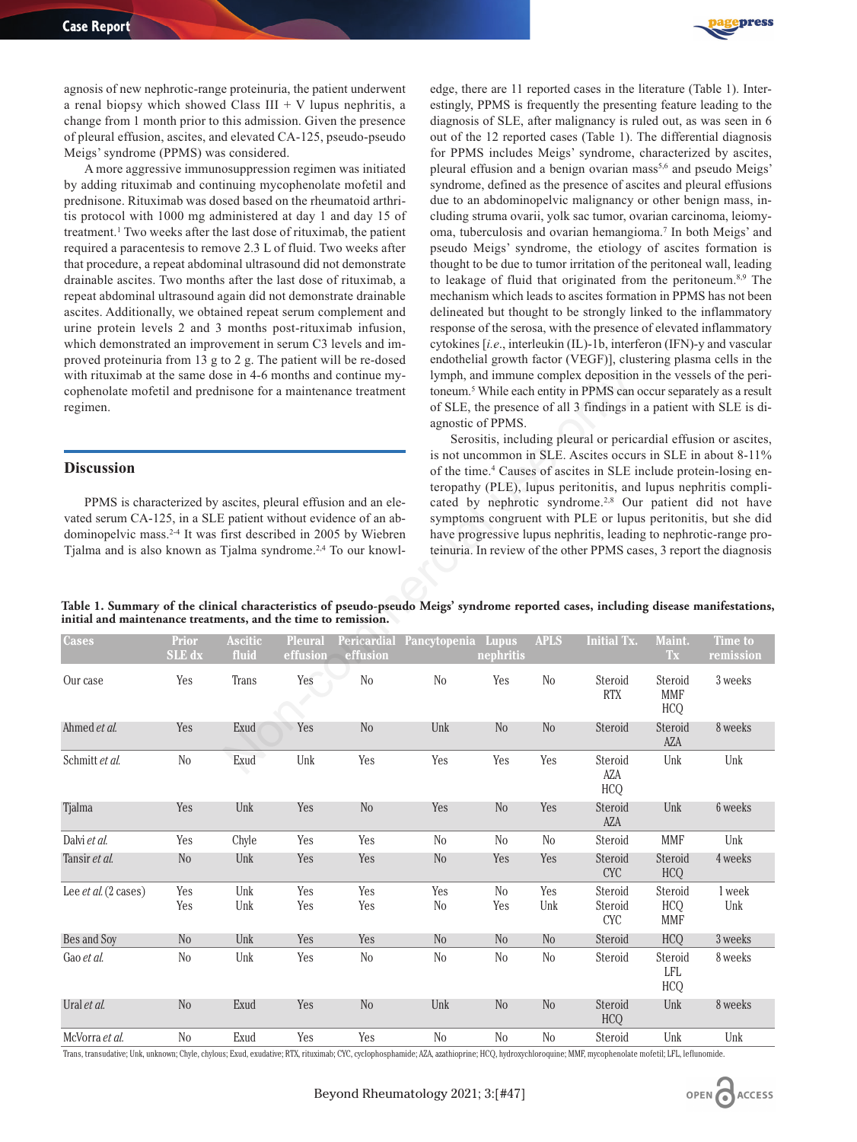

agnosis of new nephrotic-range proteinuria, the patient underwent a renal biopsy which showed Class III + V lupus nephritis, a change from 1 month prior to this admission. Given the presence of pleural effusion, ascites, and elevated CA-125, pseudo-pseudo Meigs' syndrome (PPMS) was considered.

A more aggressive immunosuppression regimen was initiated by adding rituximab and continuing mycophenolate mofetil and prednisone. Rituximab was dosed based on the rheumatoid arthritis protocol with 1000 mg administered at day 1 and day 15 of treatment.1 Two weeks after the last dose of rituximab, the patient required a paracentesis to remove 2.3 L of fluid. Two weeks after that procedure, a repeat abdominal ultrasound did not demonstrate drainable ascites. Two months after the last dose of rituximab, a repeat abdominal ultrasound again did not demonstrate drainable ascites. Additionally, we obtained repeat serum complement and urine protein levels 2 and 3 months post-rituximab infusion, which demonstrated an improvement in serum C3 levels and improved proteinuria from 13 g to 2 g. The patient will be re-dosed with rituximab at the same dose in 4-6 months and continue mycophenolate mofetil and prednisone for a maintenance treatment regimen.

## **Discussion**

edge, there are 11 reported cases in the literature (Table 1). Interestingly, PPMS is frequently the presenting feature leading to the diagnosis of SLE, after malignancy is ruled out, as was seen in 6 out of the 12 reported cases (Table 1). The differential diagnosis for PPMS includes Meigs' syndrome, characterized by ascites, pleural effusion and a benign ovarian mass<sup>5,6</sup> and pseudo Meigs' syndrome, defined as the presence of ascites and pleural effusions due to an abdominopelvic malignancy or other benign mass, including struma ovarii, yolk sac tumor, ovarian carcinoma, leiomyoma, tuberculosis and ovarian hemangioma.7 In both Meigs' and pseudo Meigs' syndrome, the etiology of ascites formation is thought to be due to tumor irritation of the peritoneal wall, leading to leakage of fluid that originated from the peritoneum.8,9 The mechanism which leads to ascites formation in PPMS has not been delineated but thought to be strongly linked to the inflammatory response of the serosa, with the presence of elevated inflammatory cytokines [*i.e*., interleukin (IL)-1b, interferon (IFN)-y and vascular endothelial growth factor (VEGF)], clustering plasma cells in the lymph, and immune complex deposition in the vessels of the peritoneum.5 While each entity in PPMS can occur separately as a result of SLE, the presence of all 3 findings in a patient with SLE is diagnostic of PPMS.

|  | Table 1. Summary of the clinical characteristics of pseudo-pseudo Meigs' syndrome reported cases, including disease manifestations, |  |  |  |  |
|--|-------------------------------------------------------------------------------------------------------------------------------------|--|--|--|--|
|  | initial and maintenance treatments, and the time to remission.                                                                      |  |  |  |  |
|  |                                                                                                                                     |  |  |  |  |

| with rituximab at the same dose in 4-6 months and continue my-<br>cophenolate mofetil and prednisone for a maintenance treatment<br>regimen.                                                                                                                                                                       |                        | lymph, and immune complex deposition in the vessels of the peri-<br>toneum. <sup>5</sup> While each entity in PPMS can occur separately as a result<br>of SLE, the presence of all 3 findings in a patient with SLE is di-<br>agnostic of PPMS.<br>Serositis, including pleural or pericardial effusion or ascites, |                            |                |                                                                                                                                                                                                                                                                                                                                                                                                                                                                                                                                                                                                                                              |                       |                |                                      |                                     |                             |  |
|--------------------------------------------------------------------------------------------------------------------------------------------------------------------------------------------------------------------------------------------------------------------------------------------------------------------|------------------------|---------------------------------------------------------------------------------------------------------------------------------------------------------------------------------------------------------------------------------------------------------------------------------------------------------------------|----------------------------|----------------|----------------------------------------------------------------------------------------------------------------------------------------------------------------------------------------------------------------------------------------------------------------------------------------------------------------------------------------------------------------------------------------------------------------------------------------------------------------------------------------------------------------------------------------------------------------------------------------------------------------------------------------------|-----------------------|----------------|--------------------------------------|-------------------------------------|-----------------------------|--|
| <b>Discussion</b><br>PPMS is characterized by ascites, pleural effusion and an ele-<br>vated serum CA-125, in a SLE patient without evidence of an ab-<br>dominopelvic mass. <sup>2-4</sup> It was first described in 2005 by Wiebren<br>Tjalma and is also known as Tjalma syndrome. <sup>2,4</sup> To our knowl- |                        |                                                                                                                                                                                                                                                                                                                     |                            |                | is not uncommon in SLE. Ascites occurs in SLE in about 8-11%<br>of the time. <sup>4</sup> Causes of ascites in SLE include protein-losing en-<br>teropathy (PLE), lupus peritonitis, and lupus nephritis compli-<br>cated by nephrotic syndrome. <sup>2,8</sup> Our patient did not have<br>symptoms congruent with PLE or lupus peritonitis, but she did<br>have progressive lupus nephritis, leading to nephrotic-range pro-<br>teinuria. In review of the other PPMS cases, 3 report the diagnosis<br>Table 1. Summary of the clinical characteristics of pseudo-pseudo Meigs' syndrome reported cases, including disease manifestations, |                       |                |                                      |                                     |                             |  |
| initial and maintenance treatments, and the time to remission.<br>Cases                                                                                                                                                                                                                                            | <b>Prior</b><br>SLE dx | <b>Ascitic</b><br>fluid                                                                                                                                                                                                                                                                                             | <b>Pleural</b><br>effusion | effusion       | Pericardial Pancytopenia Lupus                                                                                                                                                                                                                                                                                                                                                                                                                                                                                                                                                                                                               | nephritis             | <b>APLS</b>    | <b>Initial Tx.</b>                   | Maint.<br>Tx                        | <b>Time to</b><br>remission |  |
| Our case                                                                                                                                                                                                                                                                                                           | Yes                    | Trans                                                                                                                                                                                                                                                                                                               | Yes                        | No             | N <sub>o</sub>                                                                                                                                                                                                                                                                                                                                                                                                                                                                                                                                                                                                                               | Yes                   | $\rm No$       | Steroid<br><b>RTX</b>                | Steroid<br><b>MMF</b><br><b>HCQ</b> | 3 weeks                     |  |
| Ahmed et al.                                                                                                                                                                                                                                                                                                       | Yes                    | Exud                                                                                                                                                                                                                                                                                                                | Yes                        | No             | Unk                                                                                                                                                                                                                                                                                                                                                                                                                                                                                                                                                                                                                                          | N <sub>o</sub>        | $\rm No$       | Steroid                              | Steroid<br>AZA                      | 8 weeks                     |  |
| Schmitt et al.                                                                                                                                                                                                                                                                                                     | No                     | Exud                                                                                                                                                                                                                                                                                                                | Unk                        | Yes            | Yes                                                                                                                                                                                                                                                                                                                                                                                                                                                                                                                                                                                                                                          | Yes                   | Yes            | Steroid<br>AZA<br><b>HCQ</b>         | Unk                                 | Unk                         |  |
| Tjalma                                                                                                                                                                                                                                                                                                             | Yes                    | Unk                                                                                                                                                                                                                                                                                                                 | Yes                        | N <sub>o</sub> | Yes                                                                                                                                                                                                                                                                                                                                                                                                                                                                                                                                                                                                                                          | N <sub>o</sub>        | Yes            | Steroid<br>AZA                       | Unk                                 | 6 weeks                     |  |
| Dalvi et al.                                                                                                                                                                                                                                                                                                       | Yes                    | Chyle                                                                                                                                                                                                                                                                                                               | Yes                        | Yes            | $\rm No$                                                                                                                                                                                                                                                                                                                                                                                                                                                                                                                                                                                                                                     | N <sub>0</sub>        | No             | Steroid                              | <b>MMF</b>                          | Unk                         |  |
| Tansir et al.                                                                                                                                                                                                                                                                                                      | N <sub>0</sub>         | Unk                                                                                                                                                                                                                                                                                                                 | Yes                        | Yes            | No                                                                                                                                                                                                                                                                                                                                                                                                                                                                                                                                                                                                                                           | Yes                   | Yes            | Steroid<br>$\ensuremath{\text{CYC}}$ | Steroid<br><b>HCQ</b>               | 4 weeks                     |  |
| Lee et al. (2 cases)                                                                                                                                                                                                                                                                                               | Yes<br>Yes             | Unk<br>Unk                                                                                                                                                                                                                                                                                                          | Yes<br>Yes                 | Yes<br>Yes     | Yes<br>N <sub>o</sub>                                                                                                                                                                                                                                                                                                                                                                                                                                                                                                                                                                                                                        | N <sub>0</sub><br>Yes | Yes<br>Unk     | Steroid<br>Steroid<br><b>CYC</b>     | Steroid<br><b>HCQ</b><br><b>MMF</b> | 1 week<br>Unk               |  |
| Bes and Soy                                                                                                                                                                                                                                                                                                        | N <sub>o</sub>         | Unk                                                                                                                                                                                                                                                                                                                 | Yes                        | Yes            | N <sub>0</sub>                                                                                                                                                                                                                                                                                                                                                                                                                                                                                                                                                                                                                               | N <sub>o</sub>        | No             | Steroid                              | <b>HCQ</b>                          | 3 weeks                     |  |
| Gao et al.                                                                                                                                                                                                                                                                                                         | N <sub>0</sub>         | Unk                                                                                                                                                                                                                                                                                                                 | Yes                        | $\rm No$       | N <sub>0</sub>                                                                                                                                                                                                                                                                                                                                                                                                                                                                                                                                                                                                                               | N <sub>0</sub>        | $\rm No$       | Steroid                              | Steroid<br><b>LFL</b><br><b>HCQ</b> | 8 weeks                     |  |
| Ural et al.                                                                                                                                                                                                                                                                                                        | N <sub>o</sub>         | Exud                                                                                                                                                                                                                                                                                                                | Yes                        | N <sub>o</sub> | Unk                                                                                                                                                                                                                                                                                                                                                                                                                                                                                                                                                                                                                                          | N <sub>o</sub>        | N <sub>o</sub> | Steroid<br><b>HCQ</b>                | Unk                                 | 8 weeks                     |  |
| McVorra et al.                                                                                                                                                                                                                                                                                                     | N <sub>0</sub>         | Exud                                                                                                                                                                                                                                                                                                                | Yes                        | Yes            | N <sub>o</sub>                                                                                                                                                                                                                                                                                                                                                                                                                                                                                                                                                                                                                               | No                    | No             | Steroid                              | Unk                                 | Unk                         |  |

Trans, transudative; Unk, unknown; Chyle, chylous; Exud, exudative; RTX, rituximab; CYC, cyclophosphamide; AZA, azathioprine; HCQ, hydroxychloroquine; MMF, mycophenolate mofetil; LFL, leflunomide.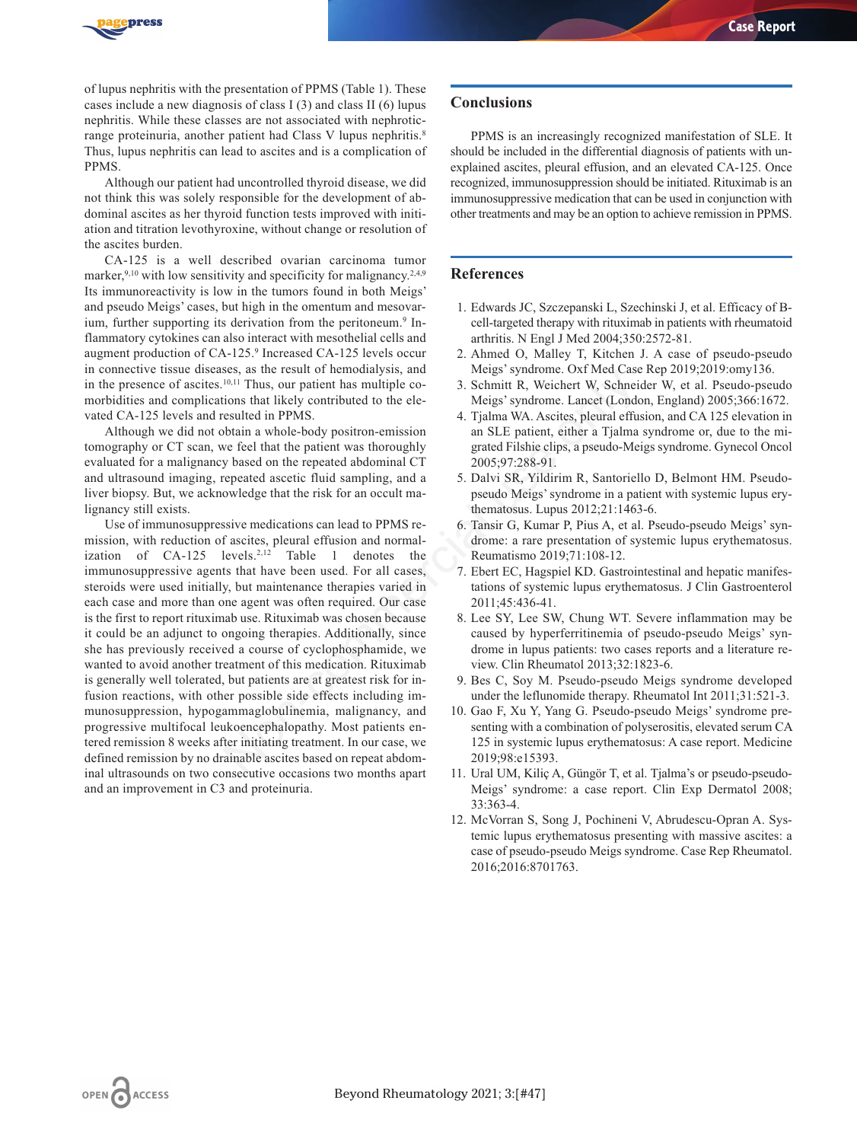

of lupus nephritis with the presentation of PPMS (Table 1). These cases include a new diagnosis of class I (3) and class II (6) lupus nephritis. While these classes are not associated with nephroticrange proteinuria, another patient had Class V lupus nephritis.<sup>8</sup> Thus, lupus nephritis can lead to ascites and is a complication of PPMS.

Although our patient had uncontrolled thyroid disease, we did not think this was solely responsible for the development of abdominal ascites as her thyroid function tests improved with initiation and titration levothyroxine, without change or resolution of the ascites burden.

CA-125 is a well described ovarian carcinoma tumor marker,<sup>9,10</sup> with low sensitivity and specificity for malignancy.<sup>2,4,9</sup> Its immunoreactivity is low in the tumors found in both Meigs' and pseudo Meigs' cases, but high in the omentum and mesovarium, further supporting its derivation from the peritoneum.<sup>9</sup> Inflammatory cytokines can also interact with mesothelial cells and augment production of CA-125.9 Increased CA-125 levels occur in connective tissue diseases, as the result of hemodialysis, and in the presence of ascites.<sup>10,11</sup> Thus, our patient has multiple comorbidities and complications that likely contributed to the elevated CA-125 levels and resulted in PPMS.

Although we did not obtain a whole-body positron-emission tomography or CT scan, we feel that the patient was thoroughly evaluated for a malignancy based on the repeated abdominal CT and ultrasound imaging, repeated ascetic fluid sampling, and a liver biopsy. But, we acknowledge that the risk for an occult malignancy still exists.

Use of immunosuppressive medications can lead to PPMS remission, with reduction of ascites, pleural effusion and normalization of  $CA-125$  levels.<sup>2,12</sup> Table 1 denotes the immunosuppressive agents that have been used. For all cases, steroids were used initially, but maintenance therapies varied in each case and more than one agent was often required. Our case is the first to report rituximab use. Rituximab was chosen because it could be an adjunct to ongoing therapies. Additionally, since she has previously received a course of cyclophosphamide, we wanted to avoid another treatment of this medication. Rituximab is generally well tolerated, but patients are at greatest risk for infusion reactions, with other possible side effects including immunosuppression, hypogammaglobulinemia, malignancy, and progressive multifocal leukoencephalopathy. Most patients entered remission 8 weeks after initiating treatment. In our case, we defined remission by no drainable ascites based on repeat abdominal ultrasounds on two consecutive occasions two months apart and an improvement in C3 and proteinuria. Some text text of monotarysis, and<br>
in the sect of monotarysis, and the performance of the sections that likely contributed to the ele-<br>
Migis' syndrome. Lancet (Lond<br>
sesulted in PPMS.<br>
Schmitt R, Weichert W, Schnei<br>
obt

#### **Conclusions**

PPMS is an increasingly recognized manifestation of SLE. It should be included in the differential diagnosis of patients with unexplained ascites, pleural effusion, and an elevated CA-125. Once recognized, immunosuppression should be initiated. Rituximab is an immunosuppressive medication that can be used in conjunction with other treatments and may be an option to achieve remission in PPMS.

## **References**

- 1. Edwards JC, Szczepanski L, Szechinski J, et al. Efficacy of Bcell-targeted therapy with rituximab in patients with rheumatoid arthritis. N Engl J Med 2004;350:2572-81.
- 2. Ahmed O, Malley T, Kitchen J. A case of pseudo-pseudo Meigs' syndrome. Oxf Med Case Rep 2019;2019:omy136.
- 3. Schmitt R, Weichert W, Schneider W, et al. Pseudo-pseudo Meigs' syndrome. Lancet (London, England) 2005;366:1672.
- 4. Tjalma WA. Ascites, pleural effusion, and CA 125 elevation in an SLE patient, either a Tjalma syndrome or, due to the migrated Filshie clips, a pseudo-Meigs syndrome. Gynecol Oncol 2005;97:288-91.
- 5. Dalvi SR, Yildirim R, Santoriello D, Belmont HM. Pseudopseudo Meigs' syndrome in a patient with systemic lupus erythematosus. Lupus 2012;21:1463-6.
- 6. Tansir G, Kumar P, Pius A, et al. Pseudo-pseudo Meigs' syndrome: a rare presentation of systemic lupus erythematosus. Reumatismo 2019;71:108-12.
- 7. Ebert EC, Hagspiel KD. Gastrointestinal and hepatic manifestations of systemic lupus erythematosus. J Clin Gastroenterol 2011;45:436-41.
- 8. Lee SY, Lee SW, Chung WT. Severe inflammation may be caused by hyperferritinemia of pseudo-pseudo Meigs' syndrome in lupus patients: two cases reports and a literature review. Clin Rheumatol 2013;32:1823-6.
- 9. Bes C, Soy M. Pseudo-pseudo Meigs syndrome developed under the leflunomide therapy. Rheumatol Int 2011;31:521-3.
- 10. Gao F, Xu Y, Yang G. Pseudo-pseudo Meigs' syndrome presenting with a combination of polyserositis, elevated serum CA 125 in systemic lupus erythematosus: A case report. Medicine 2019;98:e15393.
- 11. Ural UM, Kiliç A, Güngör T, et al. Tjalma's or pseudo-pseudo-Meigs' syndrome: a case report. Clin Exp Dermatol 2008; 33:363-4.
- 12. McVorran S, Song J, Pochineni V, Abrudescu-Opran A. Systemic lupus erythematosus presenting with massive ascites: a case of pseudo-pseudo Meigs syndrome. Case Rep Rheumatol. 2016;2016:8701763.